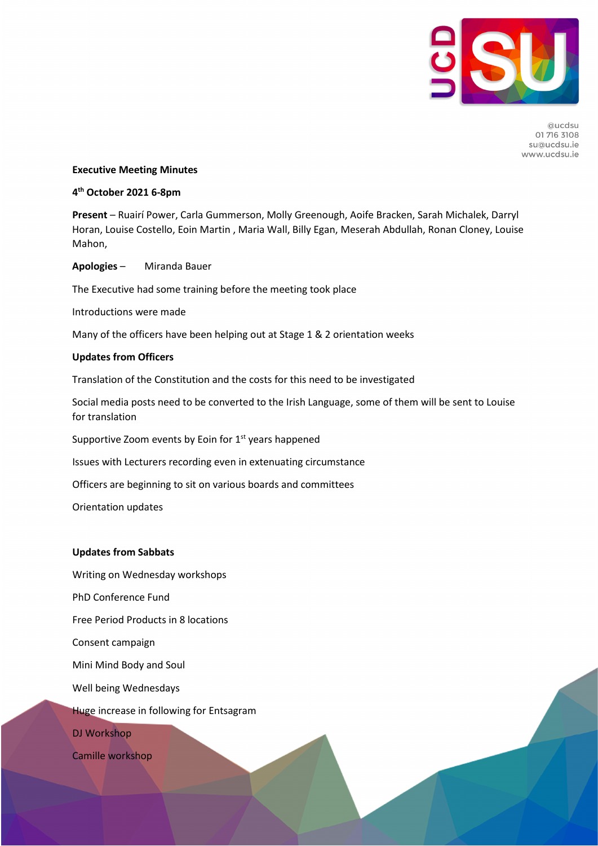

Quedsu 01 716 3108 su@ucdsu.ie www.ucdsu.ie

### **Executive Meeting Minutes**

# **4th October 2021 6-8pm**

**Present** – Ruairí Power, Carla Gummerson, Molly Greenough, Aoife Bracken, Sarah Michalek, Darryl Horan, Louise Costello, Eoin Martin , Maria Wall, Billy Egan, Meserah Abdullah, Ronan Cloney, Louise Mahon,

**Apologies** – Miranda Bauer

The Executive had some training before the meeting took place

Introductions were made

Many of the officers have been helping out at Stage 1 & 2 orientation weeks

### **Updates from Officers**

Translation of the Constitution and the costs for this need to be investigated

Social media posts need to be converted to the Irish Language, some of them will be sent to Louise for translation

Supportive Zoom events by Eoin for  $1<sup>st</sup>$  years happened

Issues with Lecturers recording even in extenuating circumstance

Officers are beginning to sit on various boards and committees

Orientation updates

## **Updates from Sabbats**

Writing on Wednesday workshops

PhD Conference Fund

Free Period Products in 8 locations

Consent campaign

Mini Mind Body and Soul

Well being Wednesdays

Huge increase in following for Entsagram

DJ Workshop

Camille workshop